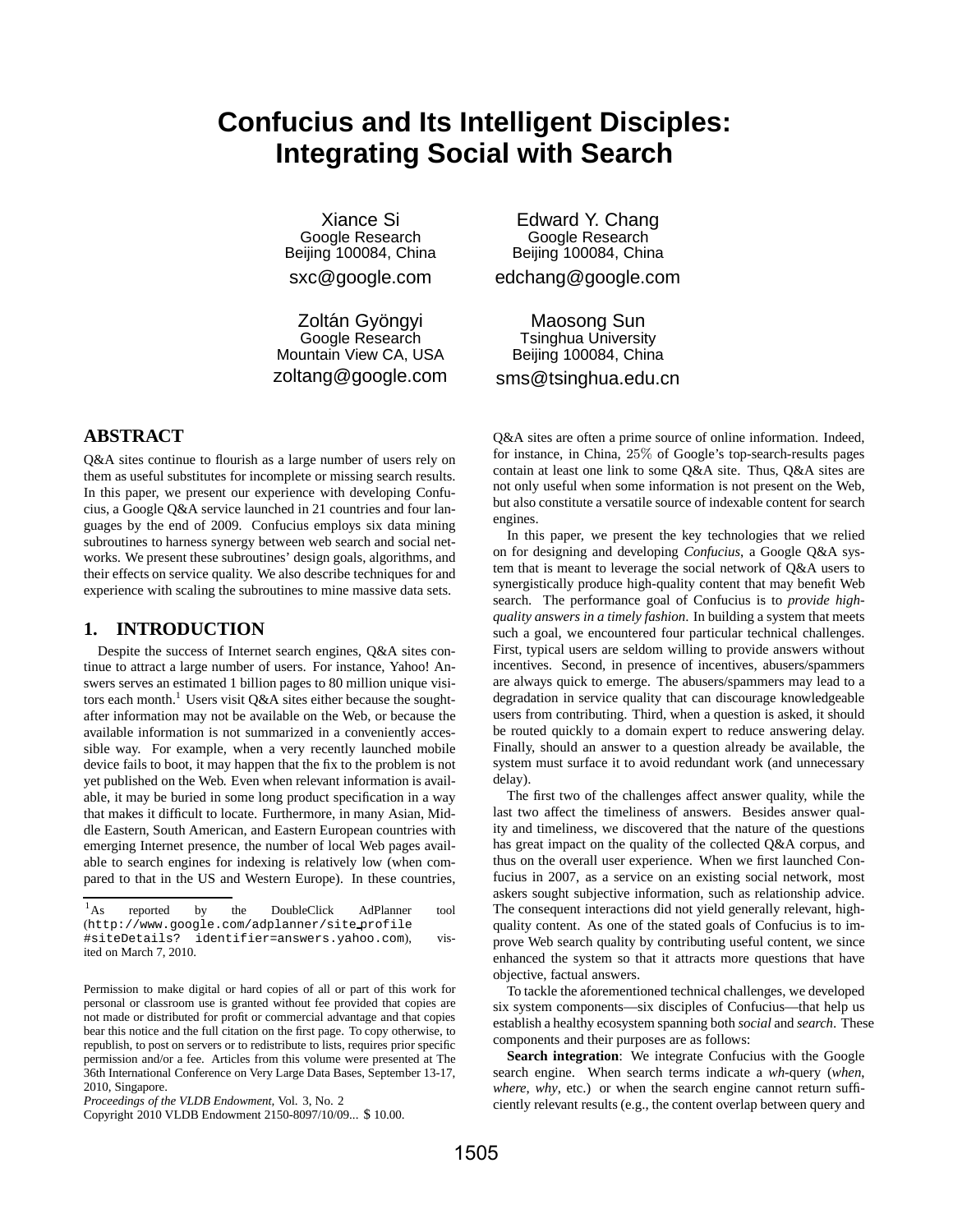# **Confucius and Its Intelligent Disciples: Integrating Social with Search**

Xiance Si Google Research Beijing 100084, China sxc@google.com

Zoltán Gyöngyi Google Research Mountain View CA, USA zoltang@google.com

# **ABSTRACT**

Q&A sites continue to flourish as a large number of users rely on them as useful substitutes for incomplete or missing search results. In this paper, we present our experience with developing Confucius, a Google Q&A service launched in 21 countries and four languages by the end of 2009. Confucius employs six data mining subroutines to harness synergy between web search and social networks. We present these subroutines' design goals, algorithms, and their effects on service quality. We also describe techniques for and experience with scaling the subroutines to mine massive data sets.

## **1. INTRODUCTION**

Despite the success of Internet search engines, Q&A sites continue to attract a large number of users. For instance, Yahoo! Answers serves an estimated 1 billion pages to 80 million unique visitors each month.<sup>1</sup> Users visit Q&A sites either because the soughtafter information may not be available on the Web, or because the available information is not summarized in a conveniently accessible way. For example, when a very recently launched mobile device fails to boot, it may happen that the fix to the problem is not yet published on the Web. Even when relevant information is available, it may be buried in some long product specification in a way that makes it difficult to locate. Furthermore, in many Asian, Middle Eastern, South American, and Eastern European countries with emerging Internet presence, the number of local Web pages available to search engines for indexing is relatively low (when compared to that in the US and Western Europe). In these countries,

Edward Y. Chang Google Research Beijing 100084, China edchang@google.com

Maosong Sun Tsinghua University Beijing 100084, China sms@tsinghua.edu.cn

Q&A sites are often a prime source of online information. Indeed, for instance, in China, 25% of Google's top-search-results pages contain at least one link to some Q&A site. Thus, Q&A sites are not only useful when some information is not present on the Web, but also constitute a versatile source of indexable content for search engines.

In this paper, we present the key technologies that we relied on for designing and developing *Confucius*, a Google Q&A system that is meant to leverage the social network of Q&A users to synergistically produce high-quality content that may benefit Web search. The performance goal of Confucius is to *provide highquality answers in a timely fashion*. In building a system that meets such a goal, we encountered four particular technical challenges. First, typical users are seldom willing to provide answers without incentives. Second, in presence of incentives, abusers/spammers are always quick to emerge. The abusers/spammers may lead to a degradation in service quality that can discourage knowledgeable users from contributing. Third, when a question is asked, it should be routed quickly to a domain expert to reduce answering delay. Finally, should an answer to a question already be available, the system must surface it to avoid redundant work (and unnecessary delay).

The first two of the challenges affect answer quality, while the last two affect the timeliness of answers. Besides answer quality and timeliness, we discovered that the nature of the questions has great impact on the quality of the collected Q&A corpus, and thus on the overall user experience. When we first launched Confucius in 2007, as a service on an existing social network, most askers sought subjective information, such as relationship advice. The consequent interactions did not yield generally relevant, highquality content. As one of the stated goals of Confucius is to improve Web search quality by contributing useful content, we since enhanced the system so that it attracts more questions that have objective, factual answers.

To tackle the aforementioned technical challenges, we developed six system components—six disciples of Confucius—that help us establish a healthy ecosystem spanning both *social* and *search*. These components and their purposes are as follows:

**Search integration**: We integrate Confucius with the Google search engine. When search terms indicate a *wh*-query (*when*, *where*, *why*, etc.) or when the search engine cannot return sufficiently relevant results (e.g., the content overlap between query and

<sup>1</sup>As reported by the DoubleClick AdPlanner tool (http://www.google.com/adplanner/site profile #siteDetails? identifier=answers.yahoo.com), visited on March 7, 2010.

Permission to make digital or hard copies of all or part of this work for personal or classroom use is granted without fee provided that copies are not made or distributed for profit or commercial advantage and that copies bear this notice and the full citation on the first page. To copy otherwise, to republish, to post on servers or to redistribute to lists, requires prior specific permission and/or a fee. Articles from this volume were presented at The 36th International Conference on Very Large Data Bases, September 13-17, 2010, Singapore.

*Proceedings of the VLDB Endowment,* Vol. 3, No. 2

Copyright 2010 VLDB Endowment 2150-8097/10/09... \$ 10.00.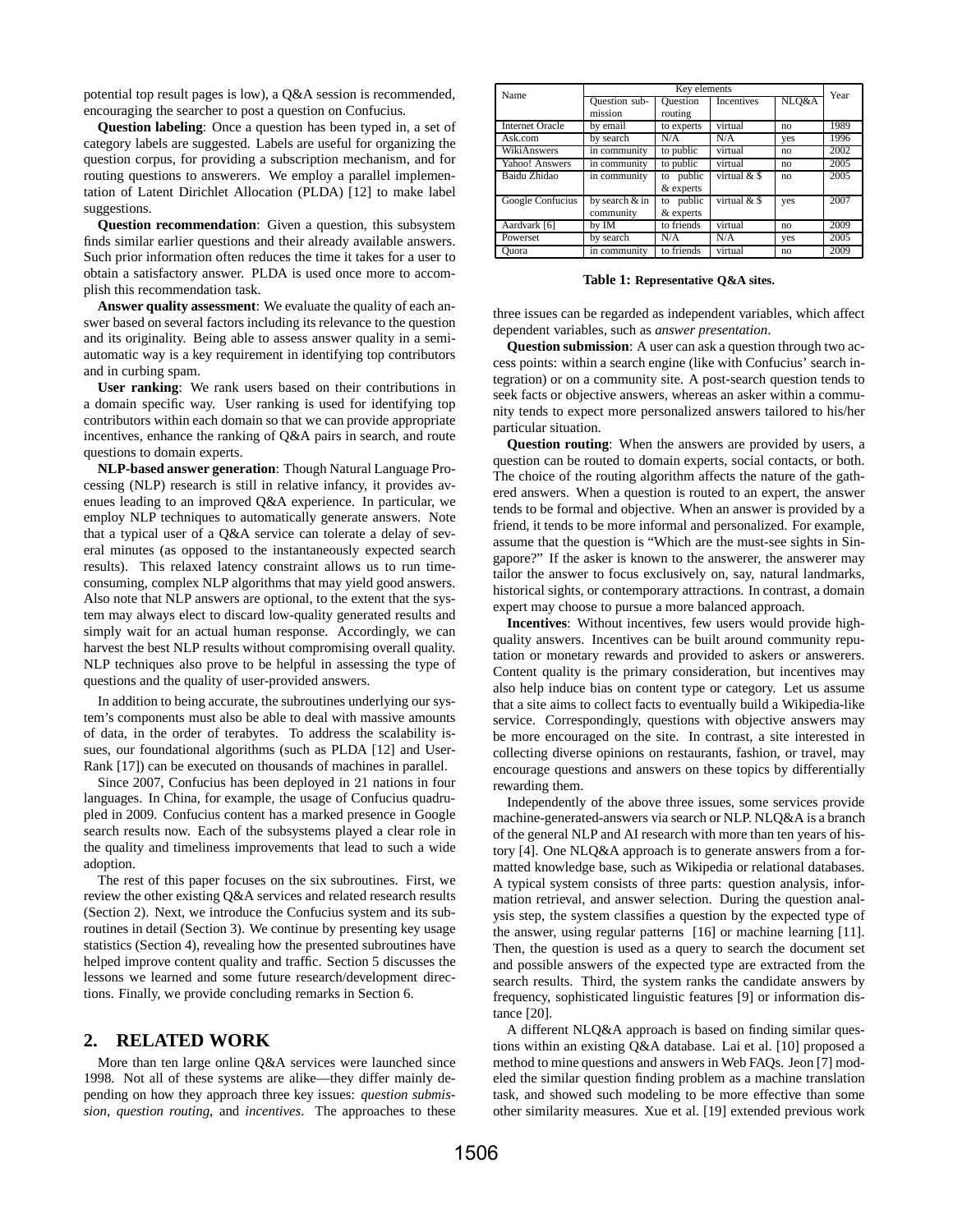potential top result pages is low), a Q&A session is recommended, encouraging the searcher to post a question on Confucius.

**Question labeling**: Once a question has been typed in, a set of category labels are suggested. Labels are useful for organizing the question corpus, for providing a subscription mechanism, and for routing questions to answerers. We employ a parallel implementation of Latent Dirichlet Allocation (PLDA) [12] to make label suggestions.

**Question recommendation**: Given a question, this subsystem finds similar earlier questions and their already available answers. Such prior information often reduces the time it takes for a user to obtain a satisfactory answer. PLDA is used once more to accomplish this recommendation task.

**Answer quality assessment**: We evaluate the quality of each answer based on several factors including its relevance to the question and its originality. Being able to assess answer quality in a semiautomatic way is a key requirement in identifying top contributors and in curbing spam.

**User ranking**: We rank users based on their contributions in a domain specific way. User ranking is used for identifying top contributors within each domain so that we can provide appropriate incentives, enhance the ranking of Q&A pairs in search, and route questions to domain experts.

**NLP-based answer generation**: Though Natural Language Processing (NLP) research is still in relative infancy, it provides avenues leading to an improved Q&A experience. In particular, we employ NLP techniques to automatically generate answers. Note that a typical user of a Q&A service can tolerate a delay of several minutes (as opposed to the instantaneously expected search results). This relaxed latency constraint allows us to run timeconsuming, complex NLP algorithms that may yield good answers. Also note that NLP answers are optional, to the extent that the system may always elect to discard low-quality generated results and simply wait for an actual human response. Accordingly, we can harvest the best NLP results without compromising overall quality. NLP techniques also prove to be helpful in assessing the type of questions and the quality of user-provided answers.

In addition to being accurate, the subroutines underlying our system's components must also be able to deal with massive amounts of data, in the order of terabytes. To address the scalability issues, our foundational algorithms (such as PLDA [12] and User-Rank [17]) can be executed on thousands of machines in parallel.

Since 2007, Confucius has been deployed in 21 nations in four languages. In China, for example, the usage of Confucius quadrupled in 2009. Confucius content has a marked presence in Google search results now. Each of the subsystems played a clear role in the quality and timeliness improvements that lead to such a wide adoption.

The rest of this paper focuses on the six subroutines. First, we review the other existing Q&A services and related research results (Section 2). Next, we introduce the Confucius system and its subroutines in detail (Section 3). We continue by presenting key usage statistics (Section 4), revealing how the presented subroutines have helped improve content quality and traffic. Section 5 discusses the lessons we learned and some future research/development directions. Finally, we provide concluding remarks in Section 6.

### **2. RELATED WORK**

More than ten large online Q&A services were launched since 1998. Not all of these systems are alike—they differ mainly depending on how they approach three key issues: *question submission*, *question routing*, and *incentives*. The approaches to these

| Name                   | Key elements     |              |                |                |      |  |  |  |
|------------------------|------------------|--------------|----------------|----------------|------|--|--|--|
|                        | Question sub-    | Question     | Incentives     | NLO&A          | Year |  |  |  |
|                        | mission          | routing      |                |                |      |  |  |  |
| <b>Internet Oracle</b> | by email         | to experts   | virtual        | n <sub>0</sub> | 1989 |  |  |  |
| Ask.com                | by search        | N/A          | N/A            | yes            | 1996 |  |  |  |
| WikiAnswers            | in community     | to public    | virtual        | no             | 2002 |  |  |  |
| Yahoo! Answers         | in community     | to public    | virtual        | n <sub>0</sub> | 2005 |  |  |  |
| Baidu Zhidao           | in community     | public<br>to | virtual $&$ \$ | no             | 2005 |  |  |  |
|                        |                  | & experts    |                |                |      |  |  |  |
| Google Confucius       | by search $&$ in | public<br>to | virtual & \$   | yes            | 2007 |  |  |  |
|                        | community        | & experts    |                |                |      |  |  |  |
| Aardvark [6]           | by IM            | to friends   | virtual        | no             | 2009 |  |  |  |
| Powerset               | by search        | N/A          | N/A            | yes            | 2005 |  |  |  |
| Ouora                  | in community     | to friends   | virtual        | no             | 2009 |  |  |  |

**Table 1: Representative Q&A sites.**

three issues can be regarded as independent variables, which affect dependent variables, such as *answer presentation*.

**Question submission**: A user can ask a question through two access points: within a search engine (like with Confucius' search integration) or on a community site. A post-search question tends to seek facts or objective answers, whereas an asker within a community tends to expect more personalized answers tailored to his/her particular situation.

**Question routing**: When the answers are provided by users, a question can be routed to domain experts, social contacts, or both. The choice of the routing algorithm affects the nature of the gathered answers. When a question is routed to an expert, the answer tends to be formal and objective. When an answer is provided by a friend, it tends to be more informal and personalized. For example, assume that the question is "Which are the must-see sights in Singapore?" If the asker is known to the answerer, the answerer may tailor the answer to focus exclusively on, say, natural landmarks, historical sights, or contemporary attractions. In contrast, a domain expert may choose to pursue a more balanced approach.

**Incentives**: Without incentives, few users would provide highquality answers. Incentives can be built around community reputation or monetary rewards and provided to askers or answerers. Content quality is the primary consideration, but incentives may also help induce bias on content type or category. Let us assume that a site aims to collect facts to eventually build a Wikipedia-like service. Correspondingly, questions with objective answers may be more encouraged on the site. In contrast, a site interested in collecting diverse opinions on restaurants, fashion, or travel, may encourage questions and answers on these topics by differentially rewarding them.

Independently of the above three issues, some services provide machine-generated-answers via search or NLP. NLQ&A is a branch of the general NLP and AI research with more than ten years of history [4]. One NLQ&A approach is to generate answers from a formatted knowledge base, such as Wikipedia or relational databases. A typical system consists of three parts: question analysis, information retrieval, and answer selection. During the question analysis step, the system classifies a question by the expected type of the answer, using regular patterns [16] or machine learning [11]. Then, the question is used as a query to search the document set and possible answers of the expected type are extracted from the search results. Third, the system ranks the candidate answers by frequency, sophisticated linguistic features [9] or information distance [20].

A different NLQ&A approach is based on finding similar questions within an existing Q&A database. Lai et al. [10] proposed a method to mine questions and answers in Web FAQs. Jeon [7] modeled the similar question finding problem as a machine translation task, and showed such modeling to be more effective than some other similarity measures. Xue et al. [19] extended previous work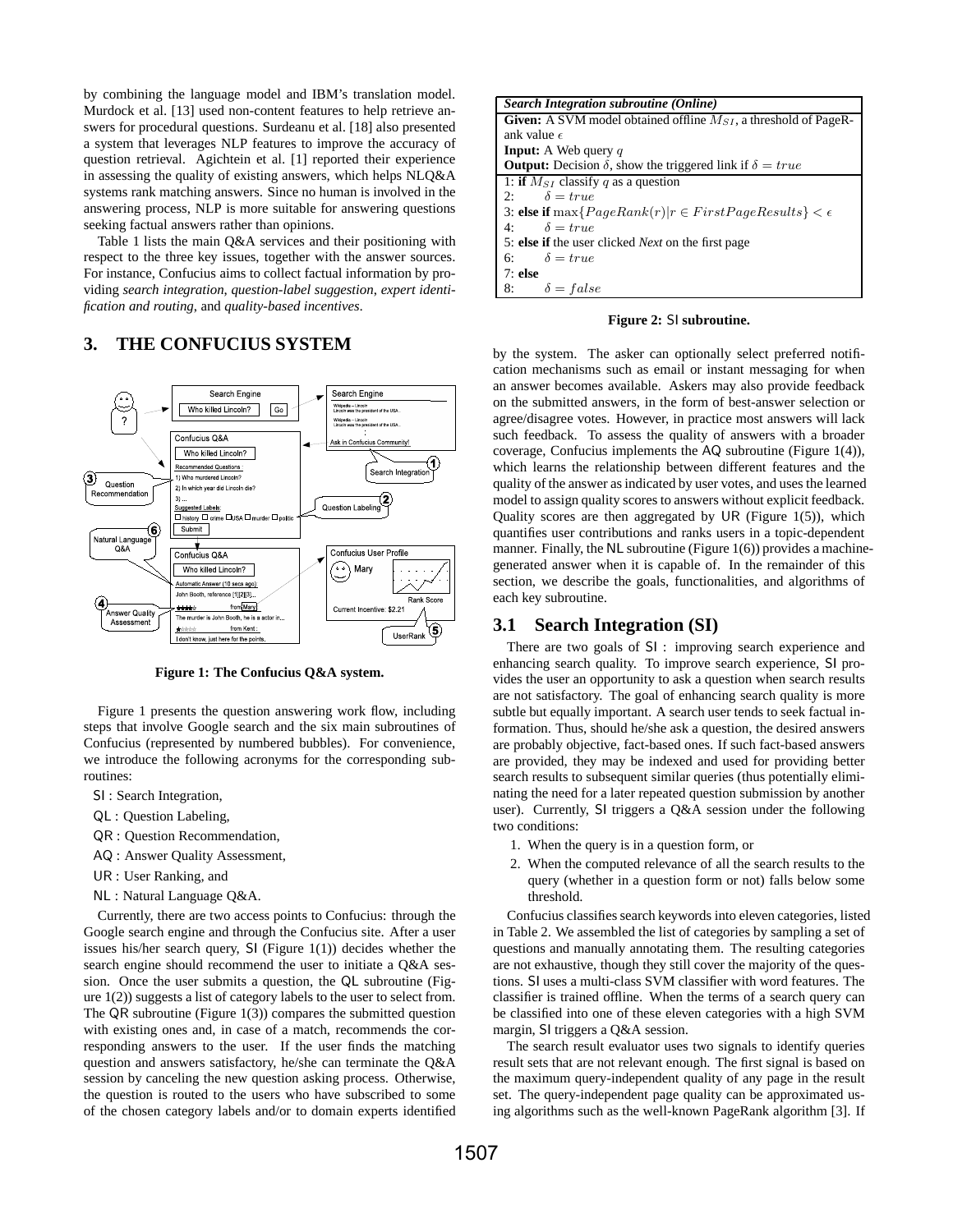by combining the language model and IBM's translation model. Murdock et al. [13] used non-content features to help retrieve answers for procedural questions. Surdeanu et al. [18] also presented a system that leverages NLP features to improve the accuracy of question retrieval. Agichtein et al. [1] reported their experience in assessing the quality of existing answers, which helps NLQ&A systems rank matching answers. Since no human is involved in the answering process, NLP is more suitable for answering questions seeking factual answers rather than opinions.

Table 1 lists the main Q&A services and their positioning with respect to the three key issues, together with the answer sources. For instance, Confucius aims to collect factual information by providing *search integration*, *question-label suggestion*, *expert identification and routing*, and *quality-based incentives*.

# **3. THE CONFUCIUS SYSTEM**



**Figure 1: The Confucius Q&A system.**

Figure 1 presents the question answering work flow, including steps that involve Google search and the six main subroutines of Confucius (represented by numbered bubbles). For convenience, we introduce the following acronyms for the corresponding subroutines:

- SI : Search Integration,
- QL : Question Labeling,
- QR : Question Recommendation,
- AQ : Answer Quality Assessment,
- UR : User Ranking, and
- NL : Natural Language Q&A.

Currently, there are two access points to Confucius: through the Google search engine and through the Confucius site. After a user issues his/her search query, SI (Figure 1(1)) decides whether the search engine should recommend the user to initiate a Q&A session. Once the user submits a question, the QL subroutine (Figure 1(2)) suggests a list of category labels to the user to select from. The QR subroutine (Figure 1(3)) compares the submitted question with existing ones and, in case of a match, recommends the corresponding answers to the user. If the user finds the matching question and answers satisfactory, he/she can terminate the Q&A session by canceling the new question asking process. Otherwise, the question is routed to the users who have subscribed to some of the chosen category labels and/or to domain experts identified

| Search Integration subroutine (Online)                                        |  |  |  |  |
|-------------------------------------------------------------------------------|--|--|--|--|
| Given: A SVM model obtained offline M <sub>SI</sub> , a threshold of PageR-   |  |  |  |  |
| ank value $\epsilon$                                                          |  |  |  |  |
| <b>Input:</b> A Web query $q$                                                 |  |  |  |  |
| <b>Output:</b> Decision $\delta$ , show the triggered link if $\delta = true$ |  |  |  |  |
| 1: if $M_{SI}$ classify q as a question                                       |  |  |  |  |
| 2: $\delta = true$                                                            |  |  |  |  |
| 3: else if $\max\{PageRank(r) r \in FirstPageResults\} < \epsilon$            |  |  |  |  |
| 4: $\delta = true$                                                            |  |  |  |  |
| 5: else if the user clicked <i>Next</i> on the first page                     |  |  |  |  |
| 6: $\delta = true$                                                            |  |  |  |  |
| $7:$ else                                                                     |  |  |  |  |
| 8: $\delta = false$                                                           |  |  |  |  |

**Figure 2:** SI **subroutine.**

by the system. The asker can optionally select preferred notification mechanisms such as email or instant messaging for when an answer becomes available. Askers may also provide feedback on the submitted answers, in the form of best-answer selection or agree/disagree votes. However, in practice most answers will lack such feedback. To assess the quality of answers with a broader coverage, Confucius implements the AQ subroutine (Figure 1(4)), which learns the relationship between different features and the quality of the answer as indicated by user votes, and uses the learned model to assign quality scores to answers without explicit feedback. Quality scores are then aggregated by UR (Figure 1(5)), which quantifies user contributions and ranks users in a topic-dependent manner. Finally, the NL subroutine (Figure 1(6)) provides a machinegenerated answer when it is capable of. In the remainder of this section, we describe the goals, functionalities, and algorithms of each key subroutine.

## **3.1 Search Integration (SI)**

There are two goals of SI : improving search experience and enhancing search quality. To improve search experience, SI provides the user an opportunity to ask a question when search results are not satisfactory. The goal of enhancing search quality is more subtle but equally important. A search user tends to seek factual information. Thus, should he/she ask a question, the desired answers are probably objective, fact-based ones. If such fact-based answers are provided, they may be indexed and used for providing better search results to subsequent similar queries (thus potentially eliminating the need for a later repeated question submission by another user). Currently, SI triggers a Q&A session under the following two conditions:

- 1. When the query is in a question form, or
- 2. When the computed relevance of all the search results to the query (whether in a question form or not) falls below some threshold.

Confucius classifies search keywords into eleven categories, listed in Table 2. We assembled the list of categories by sampling a set of questions and manually annotating them. The resulting categories are not exhaustive, though they still cover the majority of the questions. SI uses a multi-class SVM classifier with word features. The classifier is trained offline. When the terms of a search query can be classified into one of these eleven categories with a high SVM margin, SI triggers a Q&A session.

The search result evaluator uses two signals to identify queries result sets that are not relevant enough. The first signal is based on the maximum query-independent quality of any page in the result set. The query-independent page quality can be approximated using algorithms such as the well-known PageRank algorithm [3]. If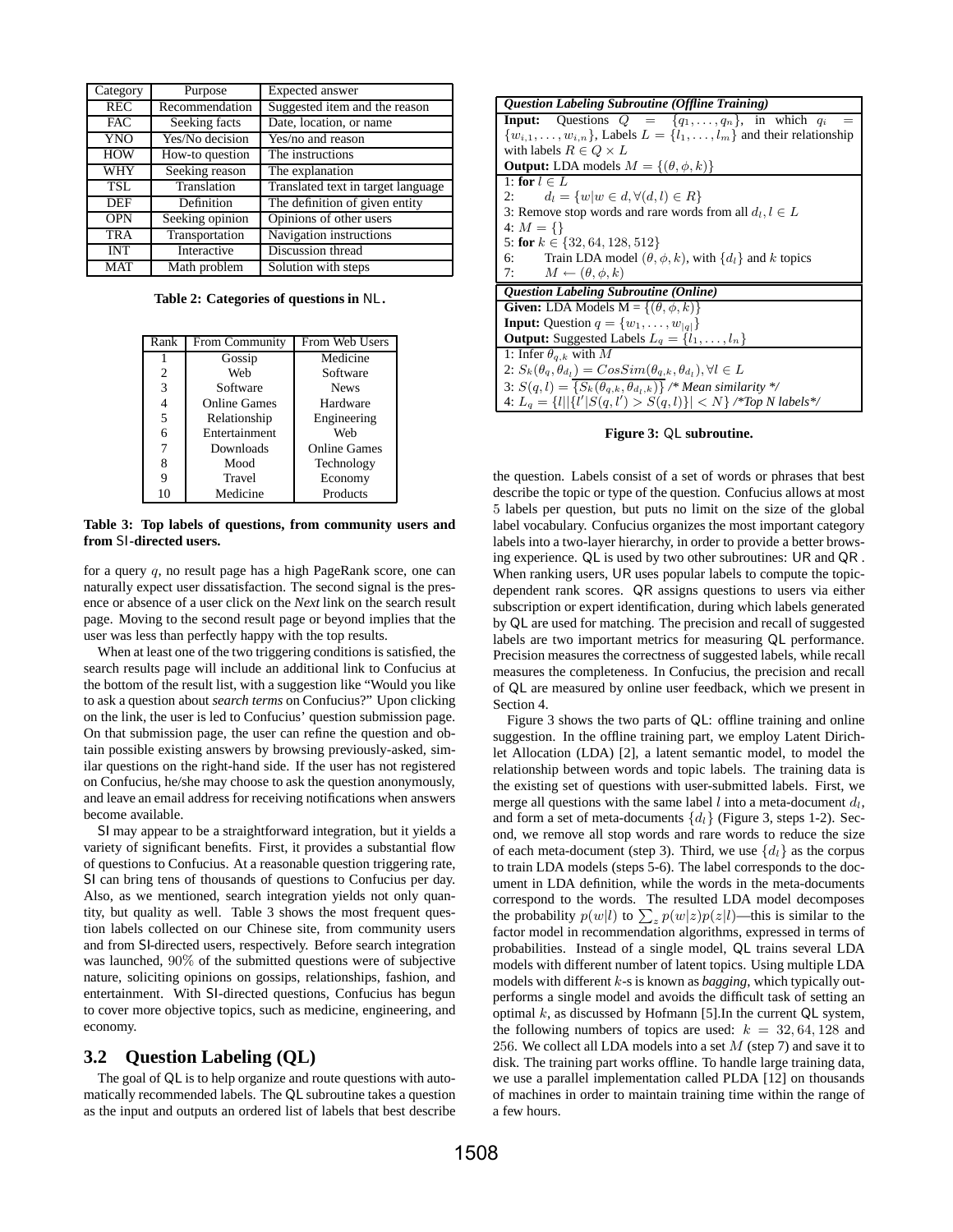| Category   | Purpose         | Expected answer                    |  |  |  |  |
|------------|-----------------|------------------------------------|--|--|--|--|
| <b>REC</b> | Recommendation  | Suggested item and the reason      |  |  |  |  |
| <b>FAC</b> | Seeking facts   | Date, location, or name            |  |  |  |  |
| <b>YNO</b> | Yes/No decision | Yes/no and reason                  |  |  |  |  |
| <b>HOW</b> | How-to question | The instructions                   |  |  |  |  |
| WHY        | Seeking reason  | The explanation                    |  |  |  |  |
| TSL        | Translation     | Translated text in target language |  |  |  |  |
| DEF        | Definition      | The definition of given entity     |  |  |  |  |
| <b>OPN</b> | Seeking opinion | Opinions of other users            |  |  |  |  |
| TRA        | Transportation  | Navigation instructions            |  |  |  |  |
| <b>INT</b> | Interactive     | Discussion thread                  |  |  |  |  |
| MAT        | Math problem    | Solution with steps                |  |  |  |  |

**Table 2: Categories of questions in** NL**.**

| Rank | From Community      | From Web Users      |  |  |
|------|---------------------|---------------------|--|--|
|      | Gossip              | Medicine            |  |  |
| 2    | Web                 | Software            |  |  |
| 3    | Software            | <b>News</b>         |  |  |
| 4    | <b>Online Games</b> | Hardware            |  |  |
| 5    | Relationship        | Engineering         |  |  |
| 6    | Entertainment       | Web                 |  |  |
| 7    | Downloads           | <b>Online Games</b> |  |  |
| 8    | Mood                | Technology          |  |  |
| 9    | Travel              | Economy             |  |  |
| 10   | Medicine            | Products            |  |  |

**Table 3: Top labels of questions, from community users and from** SI**-directed users.**

for a query q, no result page has a high PageRank score, one can naturally expect user dissatisfaction. The second signal is the presence or absence of a user click on the *Next* link on the search result page. Moving to the second result page or beyond implies that the user was less than perfectly happy with the top results.

When at least one of the two triggering conditions is satisfied, the search results page will include an additional link to Confucius at the bottom of the result list, with a suggestion like "Would you like to ask a question about *search terms* on Confucius?" Upon clicking on the link, the user is led to Confucius' question submission page. On that submission page, the user can refine the question and obtain possible existing answers by browsing previously-asked, similar questions on the right-hand side. If the user has not registered on Confucius, he/she may choose to ask the question anonymously, and leave an email address for receiving notifications when answers become available.

SI may appear to be a straightforward integration, but it yields a variety of significant benefits. First, it provides a substantial flow of questions to Confucius. At a reasonable question triggering rate, SI can bring tens of thousands of questions to Confucius per day. Also, as we mentioned, search integration yields not only quantity, but quality as well. Table 3 shows the most frequent question labels collected on our Chinese site, from community users and from SI-directed users, respectively. Before search integration was launched, 90% of the submitted questions were of subjective nature, soliciting opinions on gossips, relationships, fashion, and entertainment. With SI-directed questions, Confucius has begun to cover more objective topics, such as medicine, engineering, and economy.

## **3.2 Question Labeling (QL)**

The goal of QL is to help organize and route questions with automatically recommended labels. The QL subroutine takes a question as the input and outputs an ordered list of labels that best describe

| <i><b>Question Labeling Subroutine (Offline Training)</b></i>                          |  |  |  |  |
|----------------------------------------------------------------------------------------|--|--|--|--|
| <b>Input:</b> Questions $Q = \{q_1, \ldots, q_n\}$ , in which $q_i$                    |  |  |  |  |
| $\{w_{i,1},\ldots,w_{i,n}\}\$ , Labels $L = \{l_1,\ldots,l_m\}$ and their relationship |  |  |  |  |
| with labels $R \in Q \times L$                                                         |  |  |  |  |
| <b>Output:</b> LDA models $M = \{(\theta, \phi, k)\}\$                                 |  |  |  |  |
| 1: for $l \in L$                                                                       |  |  |  |  |
| $d_l = \{w   w \in d, \forall (d, l) \in R\}$<br>2:                                    |  |  |  |  |
| 3: Remove stop words and rare words from all $d_l, l \in L$                            |  |  |  |  |
| 4: $M = \{\}$                                                                          |  |  |  |  |
| 5: for $k \in \{32, 64, 128, 512\}$                                                    |  |  |  |  |
| Train LDA model $(\theta, \phi, k)$ , with $\{d_l\}$ and k topics<br>6:                |  |  |  |  |
| $M \leftarrow (\theta, \phi, k)$<br>7:                                                 |  |  |  |  |
| <b>Question Labeling Subroutine (Online)</b>                                           |  |  |  |  |
| <b>Given:</b> LDA Models M = { $(\theta, \phi, k)$ }                                   |  |  |  |  |
| <b>Input:</b> Question $q = \{w_1, \ldots, w_{ q }\}\$                                 |  |  |  |  |
| <b>Output:</b> Suggested Labels $L_q = \{l_1, \ldots, l_n\}$                           |  |  |  |  |
| 1: Infer $\theta_{q,k}$ with M                                                         |  |  |  |  |
| 2: $S_k(\theta_q, \theta_{d_1}) = CosSim(\theta_{q,k}, \theta_{d_1}), \forall l \in L$ |  |  |  |  |
| 3: $S(q, l) = \overline{\{S_k(\theta_{q,k}, \theta_{d_l,k})\}}$ /* Mean similarity */  |  |  |  |  |
| 4: $L_q = \{l  \{l' S(q, l') > S(q, l)\}  < N\}$ /*Top N labels*/                      |  |  |  |  |
|                                                                                        |  |  |  |  |

#### **Figure 3:** QL **subroutine.**

the question. Labels consist of a set of words or phrases that best describe the topic or type of the question. Confucius allows at most 5 labels per question, but puts no limit on the size of the global label vocabulary. Confucius organizes the most important category labels into a two-layer hierarchy, in order to provide a better browsing experience. QL is used by two other subroutines: UR and QR . When ranking users, UR uses popular labels to compute the topicdependent rank scores. QR assigns questions to users via either subscription or expert identification, during which labels generated by QL are used for matching. The precision and recall of suggested labels are two important metrics for measuring QL performance. Precision measures the correctness of suggested labels, while recall measures the completeness. In Confucius, the precision and recall of QL are measured by online user feedback, which we present in Section 4.

Figure 3 shows the two parts of QL: offline training and online suggestion. In the offline training part, we employ Latent Dirichlet Allocation (LDA) [2], a latent semantic model, to model the relationship between words and topic labels. The training data is the existing set of questions with user-submitted labels. First, we merge all questions with the same label l into a meta-document  $d_l$ , and form a set of meta-documents  $\{d_l\}$  (Figure 3, steps 1-2). Second, we remove all stop words and rare words to reduce the size of each meta-document (step 3). Third, we use  $\{d_l\}$  as the corpus to train LDA models (steps 5-6). The label corresponds to the document in LDA definition, while the words in the meta-documents correspond to the words. The resulted LDA model decomposes the probability  $p(w|l)$  to  $\sum_{z} p(w|z)p(z|l)$ —this is similar to the factor model in recommendation algorithms, expressed in terms of probabilities. Instead of a single model, QL trains several LDA models with different number of latent topics. Using multiple LDA models with different k-s is known as *bagging*, which typically outperforms a single model and avoids the difficult task of setting an optimal  $k$ , as discussed by Hofmann [5]. In the current QL system, the following numbers of topics are used:  $k = 32, 64, 128$  and 256. We collect all LDA models into a set  $M$  (step 7) and save it to disk. The training part works offline. To handle large training data, we use a parallel implementation called PLDA [12] on thousands of machines in order to maintain training time within the range of a few hours.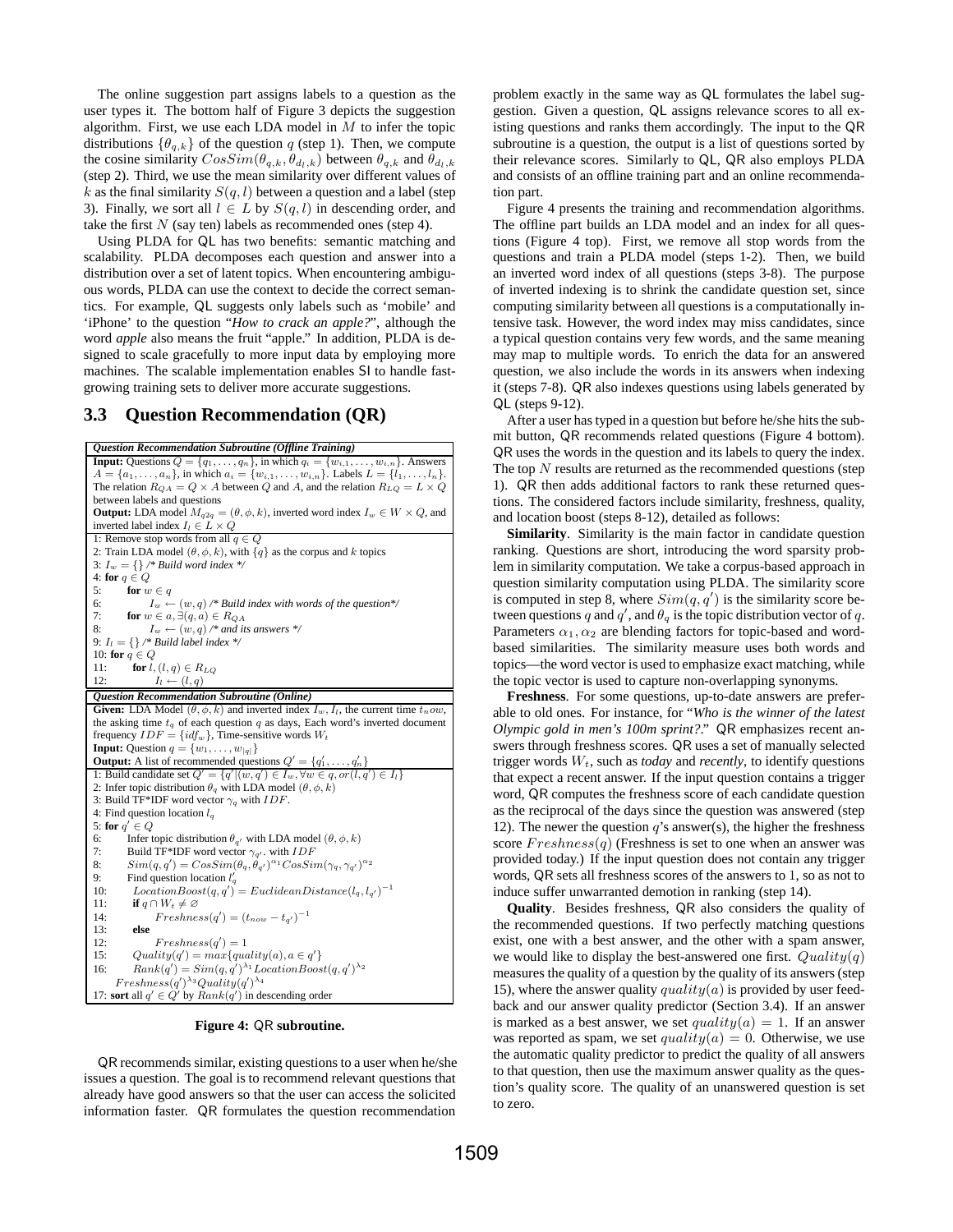The online suggestion part assigns labels to a question as the user types it. The bottom half of Figure 3 depicts the suggestion algorithm. First, we use each LDA model in  $M$  to infer the topic distributions  $\{\theta_{q,k}\}$  of the question q (step 1). Then, we compute the cosine similarity  $CosSim(\theta_{q,k}, \theta_{d_l,k})$  between  $\theta_{q,k}$  and  $\theta_{d_l,k}$ (step 2). Third, we use the mean similarity over different values of k as the final similarity  $S(q, l)$  between a question and a label (step 3). Finally, we sort all  $l \in L$  by  $S(q, l)$  in descending order, and take the first  $N$  (say ten) labels as recommended ones (step 4).

Using PLDA for QL has two benefits: semantic matching and scalability. PLDA decomposes each question and answer into a distribution over a set of latent topics. When encountering ambiguous words, PLDA can use the context to decide the correct semantics. For example, QL suggests only labels such as 'mobile' and 'iPhone' to the question "*How to crack an apple?*", although the word *apple* also means the fruit "apple." In addition, PLDA is designed to scale gracefully to more input data by employing more machines. The scalable implementation enables SI to handle fastgrowing training sets to deliver more accurate suggestions.

## **3.3 Question Recommendation (QR)**



#### **Figure 4:** QR **subroutine.**

QR recommends similar, existing questions to a user when he/she issues a question. The goal is to recommend relevant questions that already have good answers so that the user can access the solicited information faster. QR formulates the question recommendation

problem exactly in the same way as QL formulates the label suggestion. Given a question, QL assigns relevance scores to all existing questions and ranks them accordingly. The input to the QR subroutine is a question, the output is a list of questions sorted by their relevance scores. Similarly to QL, QR also employs PLDA and consists of an offline training part and an online recommendation part.

Figure 4 presents the training and recommendation algorithms. The offline part builds an LDA model and an index for all questions (Figure 4 top). First, we remove all stop words from the questions and train a PLDA model (steps 1-2). Then, we build an inverted word index of all questions (steps 3-8). The purpose of inverted indexing is to shrink the candidate question set, since computing similarity between all questions is a computationally intensive task. However, the word index may miss candidates, since a typical question contains very few words, and the same meaning may map to multiple words. To enrich the data for an answered question, we also include the words in its answers when indexing it (steps 7-8). QR also indexes questions using labels generated by QL (steps 9-12).

After a user has typed in a question but before he/she hits the submit button, QR recommends related questions (Figure 4 bottom). QR uses the words in the question and its labels to query the index. The top  $N$  results are returned as the recommended questions (step 1). QR then adds additional factors to rank these returned questions. The considered factors include similarity, freshness, quality, and location boost (steps 8-12), detailed as follows:

**Similarity**. Similarity is the main factor in candidate question ranking. Questions are short, introducing the word sparsity problem in similarity computation. We take a corpus-based approach in question similarity computation using PLDA. The similarity score is computed in step 8, where  $Sim(q, q')$  is the similarity score between questions q and q', and  $\theta_q$  is the topic distribution vector of q. Parameters  $\alpha_1, \alpha_2$  are blending factors for topic-based and wordbased similarities. The similarity measure uses both words and topics—the word vector is used to emphasize exact matching, while the topic vector is used to capture non-overlapping synonyms.

**Freshness**. For some questions, up-to-date answers are preferable to old ones. For instance, for "*Who is the winner of the latest Olympic gold in men's 100m sprint?*." QR emphasizes recent answers through freshness scores. QR uses a set of manually selected trigger words  $W_t$ , such as *today* and *recently*, to identify questions that expect a recent answer. If the input question contains a trigger word, QR computes the freshness score of each candidate question as the reciprocal of the days since the question was answered (step 12). The newer the question  $q$ 's answer(s), the higher the freshness score  $Freshness(q)$  (Freshness is set to one when an answer was provided today.) If the input question does not contain any trigger words, QR sets all freshness scores of the answers to 1, so as not to induce suffer unwarranted demotion in ranking (step 14).

**Quality**. Besides freshness, QR also considers the quality of the recommended questions. If two perfectly matching questions exist, one with a best answer, and the other with a spam answer, we would like to display the best-answered one first.  $Quality(q)$ measures the quality of a question by the quality of its answers (step 15), where the answer quality  $quality(a)$  is provided by user feedback and our answer quality predictor (Section 3.4). If an answer is marked as a best answer, we set  $quality(a) = 1$ . If an answer was reported as spam, we set  $quality(a) = 0$ . Otherwise, we use the automatic quality predictor to predict the quality of all answers to that question, then use the maximum answer quality as the question's quality score. The quality of an unanswered question is set to zero.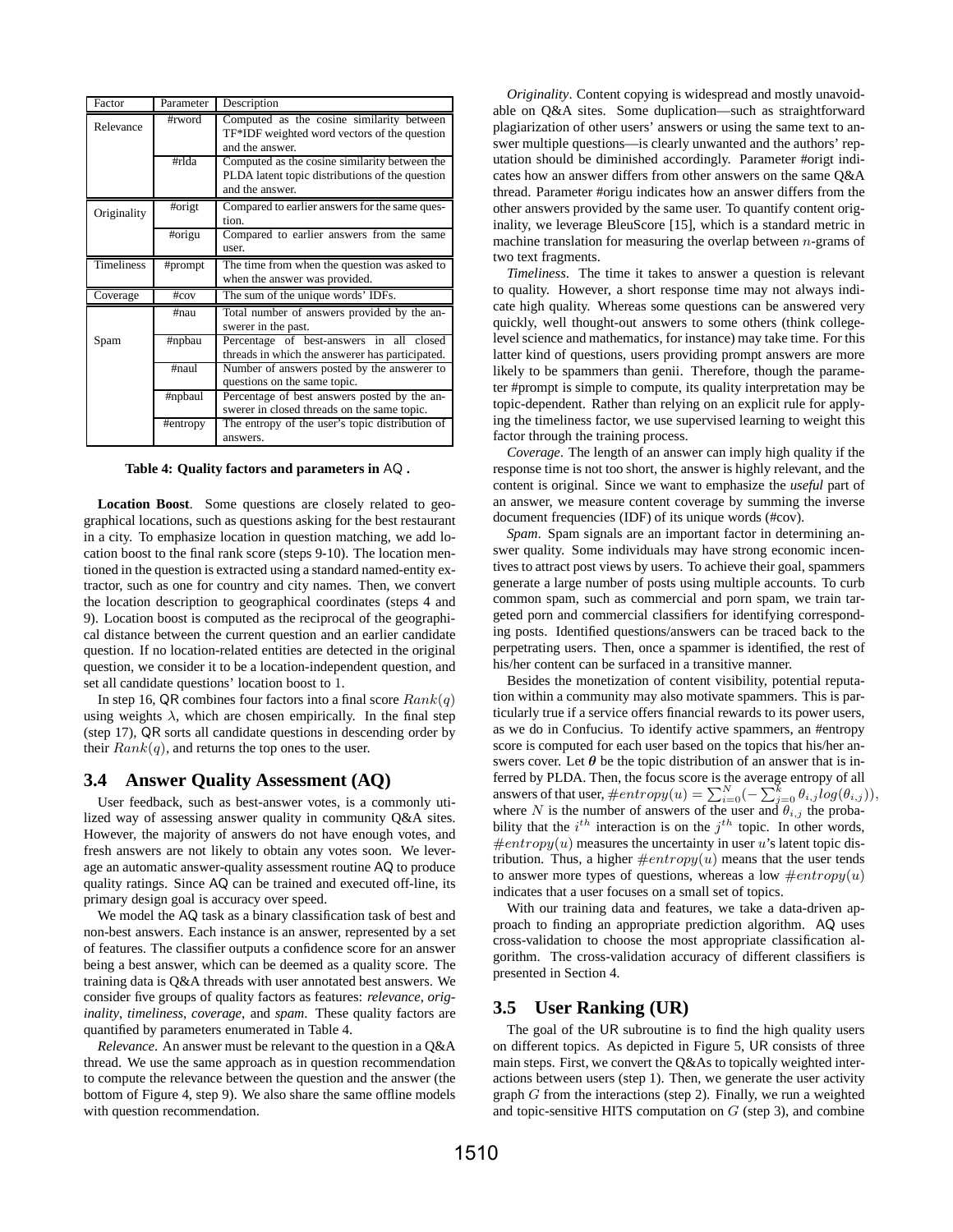| Factor            | Parameter | Description                                                                               |  |  |  |  |  |
|-------------------|-----------|-------------------------------------------------------------------------------------------|--|--|--|--|--|
| Relevance         | #rword    | Computed as the cosine similarity between<br>TF*IDF weighted word vectors of the question |  |  |  |  |  |
|                   |           | and the answer.                                                                           |  |  |  |  |  |
|                   | #rlda     | Computed as the cosine similarity between the                                             |  |  |  |  |  |
|                   |           | PLDA latent topic distributions of the question                                           |  |  |  |  |  |
|                   |           | and the answer                                                                            |  |  |  |  |  |
| Originality       | #origt    | Compared to earlier answers for the same ques-                                            |  |  |  |  |  |
|                   |           | tion.                                                                                     |  |  |  |  |  |
|                   | #origu    | Compared to earlier answers from the same                                                 |  |  |  |  |  |
|                   |           | user.                                                                                     |  |  |  |  |  |
| <b>Timeliness</b> | #prompt   | The time from when the question was asked to                                              |  |  |  |  |  |
|                   |           |                                                                                           |  |  |  |  |  |
|                   |           | when the answer was provided.                                                             |  |  |  |  |  |
| Coverage          | #cov      | The sum of the unique words' IDFs.                                                        |  |  |  |  |  |
|                   | #nau      | Total number of answers provided by the an-                                               |  |  |  |  |  |
|                   |           | swerer in the past.                                                                       |  |  |  |  |  |
| Spam              | #npbau    | Percentage of best-answers in all closed                                                  |  |  |  |  |  |
|                   |           | threads in which the answerer has participated.                                           |  |  |  |  |  |
|                   | #naul     | Number of answers posted by the answerer to                                               |  |  |  |  |  |
|                   |           | questions on the same topic.                                                              |  |  |  |  |  |
|                   | #npbaul   | Percentage of best answers posted by the an-                                              |  |  |  |  |  |
|                   |           | swerer in closed threads on the same topic.                                               |  |  |  |  |  |
|                   | #entropy  | The entropy of the user's topic distribution of                                           |  |  |  |  |  |

**Table 4: Quality factors and parameters in** AQ **.**

**Location Boost**. Some questions are closely related to geographical locations, such as questions asking for the best restaurant in a city. To emphasize location in question matching, we add location boost to the final rank score (steps 9-10). The location mentioned in the question is extracted using a standard named-entity extractor, such as one for country and city names. Then, we convert the location description to geographical coordinates (steps 4 and 9). Location boost is computed as the reciprocal of the geographical distance between the current question and an earlier candidate question. If no location-related entities are detected in the original question, we consider it to be a location-independent question, and set all candidate questions' location boost to 1.

In step 16, QR combines four factors into a final score  $Rank(q)$ using weights  $\lambda$ , which are chosen empirically. In the final step (step 17), QR sorts all candidate questions in descending order by their  $Rank(q)$ , and returns the top ones to the user.

#### **3.4 Answer Quality Assessment (AQ)**

User feedback, such as best-answer votes, is a commonly utilized way of assessing answer quality in community Q&A sites. However, the majority of answers do not have enough votes, and fresh answers are not likely to obtain any votes soon. We leverage an automatic answer-quality assessment routine AQ to produce quality ratings. Since AQ can be trained and executed off-line, its primary design goal is accuracy over speed.

We model the AQ task as a binary classification task of best and non-best answers. Each instance is an answer, represented by a set of features. The classifier outputs a confidence score for an answer being a best answer, which can be deemed as a quality score. The training data is Q&A threads with user annotated best answers. We consider five groups of quality factors as features: *relevance*, *originality*, *timeliness*, *coverage*, and *spam*. These quality factors are quantified by parameters enumerated in Table 4.

*Relevance*. An answer must be relevant to the question in a Q&A thread. We use the same approach as in question recommendation to compute the relevance between the question and the answer (the bottom of Figure 4, step 9). We also share the same offline models with question recommendation.

*Originality*. Content copying is widespread and mostly unavoidable on Q&A sites. Some duplication—such as straightforward plagiarization of other users' answers or using the same text to answer multiple questions—is clearly unwanted and the authors' reputation should be diminished accordingly. Parameter #origt indicates how an answer differs from other answers on the same Q&A thread. Parameter #origu indicates how an answer differs from the other answers provided by the same user. To quantify content originality, we leverage BleuScore [15], which is a standard metric in machine translation for measuring the overlap between  $n$ -grams of two text fragments.

*Timeliness*. The time it takes to answer a question is relevant to quality. However, a short response time may not always indicate high quality. Whereas some questions can be answered very quickly, well thought-out answers to some others (think collegelevel science and mathematics, for instance) may take time. For this latter kind of questions, users providing prompt answers are more likely to be spammers than genii. Therefore, though the parameter #prompt is simple to compute, its quality interpretation may be topic-dependent. Rather than relying on an explicit rule for applying the timeliness factor, we use supervised learning to weight this factor through the training process.

*Coverage*. The length of an answer can imply high quality if the response time is not too short, the answer is highly relevant, and the content is original. Since we want to emphasize the *useful* part of an answer, we measure content coverage by summing the inverse document frequencies (IDF) of its unique words (#cov).

*Spam*. Spam signals are an important factor in determining answer quality. Some individuals may have strong economic incentives to attract post views by users. To achieve their goal, spammers generate a large number of posts using multiple accounts. To curb common spam, such as commercial and porn spam, we train targeted porn and commercial classifiers for identifying corresponding posts. Identified questions/answers can be traced back to the perpetrating users. Then, once a spammer is identified, the rest of his/her content can be surfaced in a transitive manner.

Besides the monetization of content visibility, potential reputation within a community may also motivate spammers. This is particularly true if a service offers financial rewards to its power users, as we do in Confucius. To identify active spammers, an #entropy score is computed for each user based on the topics that his/her answers cover. Let  $\theta$  be the topic distribution of an answer that is inferred by PLDA. Then, the focus score is the average entropy of all answers of that user,  $\#entropy(u) = \sum_{i=0}^{N} (-\sum_{j=0}^{k} \theta_{i,j} log(\theta_{i,j}))$ , where N is the number of answers of the user and  $\theta_{i,j}$  the probability that the  $i^{th}$  interaction is on the  $j^{th}$  topic. In other words,  $\#entropy(u)$  measures the uncertainty in user u's latent topic distribution. Thus, a higher  $\#entropy(u)$  means that the user tends to answer more types of questions, whereas a low  $\#entropy(u)$ indicates that a user focuses on a small set of topics.

With our training data and features, we take a data-driven approach to finding an appropriate prediction algorithm. AQ uses cross-validation to choose the most appropriate classification algorithm. The cross-validation accuracy of different classifiers is presented in Section 4.

#### **3.5 User Ranking (UR)**

The goal of the UR subroutine is to find the high quality users on different topics. As depicted in Figure 5, UR consists of three main steps. First, we convert the Q&As to topically weighted interactions between users (step 1). Then, we generate the user activity graph  $G$  from the interactions (step 2). Finally, we run a weighted and topic-sensitive HITS computation on  $G$  (step 3), and combine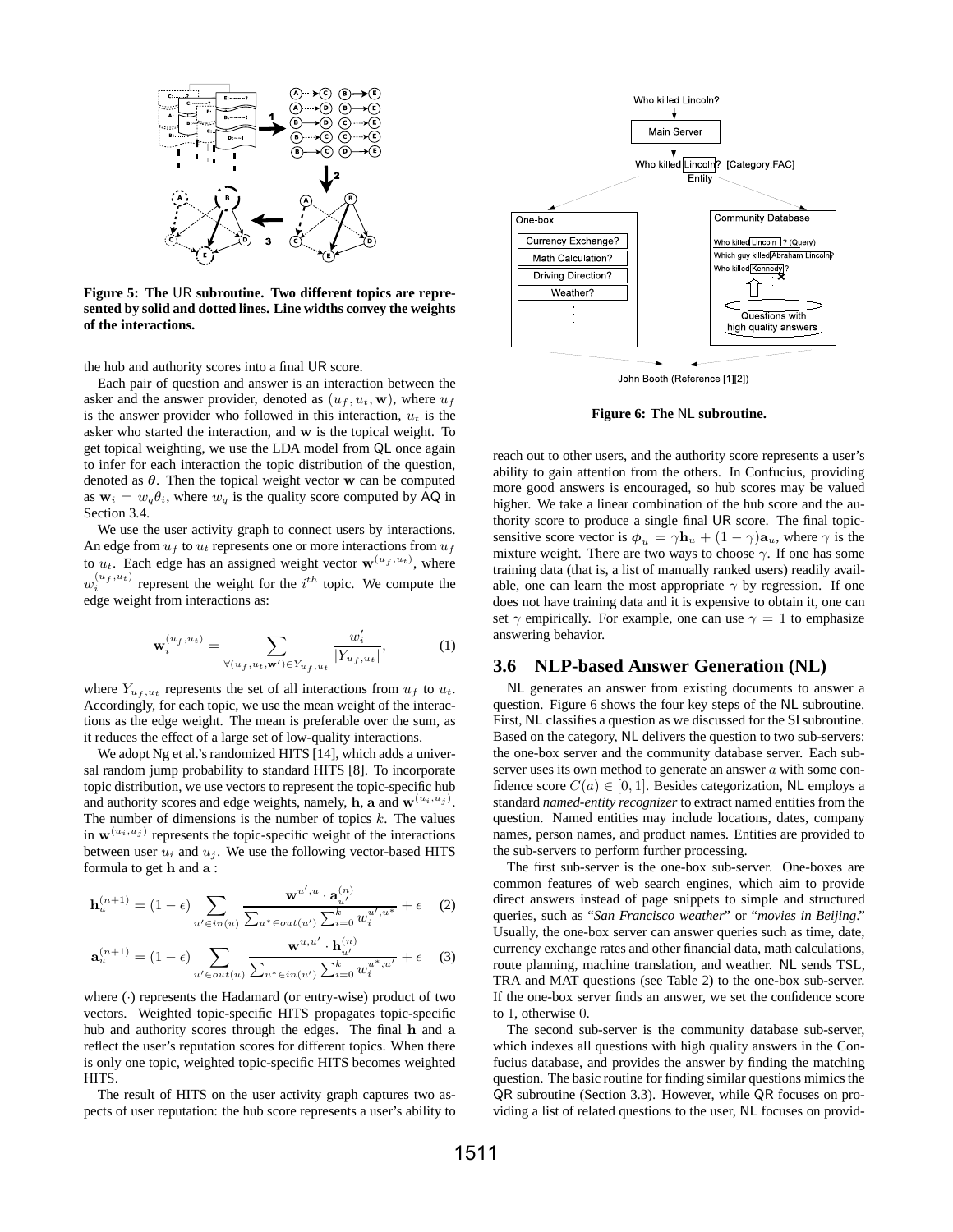

**Figure 5: The** UR **subroutine. Two different topics are represented by solid and dotted lines. Line widths convey the weights of the interactions.**

the hub and authority scores into a final UR score.

Each pair of question and answer is an interaction between the asker and the answer provider, denoted as  $(u_f, u_t, \mathbf{w})$ , where  $u_f$ is the answer provider who followed in this interaction,  $u_t$  is the asker who started the interaction, and w is the topical weight. To get topical weighting, we use the LDA model from QL once again to infer for each interaction the topic distribution of the question, denoted as  $\theta$ . Then the topical weight vector w can be computed as  $w_i = w_q \theta_i$ , where  $w_q$  is the quality score computed by AQ in Section 3.4.

We use the user activity graph to connect users by interactions. An edge from  $u_f$  to  $u_t$  represents one or more interactions from  $u_f$ to  $u_t$ . Each edge has an assigned weight vector  $\mathbf{w}^{(u_f, u_t)}$ , where  $w_i^{(u_f, u_t)}$  represent the weight for the  $i^{th}$  topic. We compute the edge weight from interactions as:

$$
\mathbf{w}_{i}^{(u_f, u_t)} = \sum_{\forall (u_f, u_t, \mathbf{w}') \in Y_{u_f, u_t}} \frac{w_i'}{|Y_{u_f, u_t}|},
$$
(1)

where  $Y_{u_f, u_t}$  represents the set of all interactions from  $u_f$  to  $u_t$ . Accordingly, for each topic, we use the mean weight of the interactions as the edge weight. The mean is preferable over the sum, as it reduces the effect of a large set of low-quality interactions.

We adopt Ng et al.'s randomized HITS [14], which adds a universal random jump probability to standard HITS [8]. To incorporate topic distribution, we use vectors to represent the topic-specific hub and authority scores and edge weights, namely, h, a and  $\mathbf{w}^{(u_i, u_j)}$ . The number of dimensions is the number of topics  $k$ . The values in  $\mathbf{w}^{(u_i, u_j)}$  represents the topic-specific weight of the interactions between user  $u_i$  and  $u_j$ . We use the following vector-based HITS formula to get h and a :

$$
\mathbf{h}_{u}^{(n+1)} = (1 - \epsilon) \sum_{u' \in in(u)} \frac{\mathbf{w}^{u', u} \cdot \mathbf{a}_{u'}^{(n)}}{\sum_{u^* \in out(u')} \sum_{i=0}^k w_i^{u', u^*}} + \epsilon \quad (2)
$$

$$
\mathbf{a}_{u}^{(n+1)} = (1 - \epsilon) \sum_{u' \in out(u)} \frac{\mathbf{w}^{u, u'} \cdot \mathbf{h}_{u'}^{(n)}}{\sum_{u^* \in in(u')} \sum_{i=0}^k w_i^{u^*, u'}} + \epsilon \quad (3)
$$

where  $(\cdot)$  represents the Hadamard (or entry-wise) product of two vectors. Weighted topic-specific HITS propagates topic-specific hub and authority scores through the edges. The final h and a reflect the user's reputation scores for different topics. When there is only one topic, weighted topic-specific HITS becomes weighted HITS.

The result of HITS on the user activity graph captures two aspects of user reputation: the hub score represents a user's ability to



John Booth (Reference [1][2])

**Figure 6: The** NL **subroutine.**

reach out to other users, and the authority score represents a user's ability to gain attention from the others. In Confucius, providing more good answers is encouraged, so hub scores may be valued higher. We take a linear combination of the hub score and the authority score to produce a single final UR score. The final topicsensitive score vector is  $\phi_u = \gamma \mathbf{h}_u + (1 - \gamma) \mathbf{a}_u$ , where  $\gamma$  is the mixture weight. There are two ways to choose  $\gamma$ . If one has some training data (that is, a list of manually ranked users) readily available, one can learn the most appropriate  $\gamma$  by regression. If one does not have training data and it is expensive to obtain it, one can set  $\gamma$  empirically. For example, one can use  $\gamma = 1$  to emphasize answering behavior.

## **3.6 NLP-based Answer Generation (NL)**

NL generates an answer from existing documents to answer a question. Figure 6 shows the four key steps of the NL subroutine. First, NL classifies a question as we discussed for the SI subroutine. Based on the category, NL delivers the question to two sub-servers: the one-box server and the community database server. Each subserver uses its own method to generate an answer  $a$  with some confidence score  $C(a) \in [0, 1]$ . Besides categorization, NL employs a standard *named-entity recognizer* to extract named entities from the question. Named entities may include locations, dates, company names, person names, and product names. Entities are provided to the sub-servers to perform further processing.

The first sub-server is the one-box sub-server. One-boxes are common features of web search engines, which aim to provide direct answers instead of page snippets to simple and structured queries, such as "*San Francisco weather*" or "*movies in Beijing*." Usually, the one-box server can answer queries such as time, date, currency exchange rates and other financial data, math calculations, route planning, machine translation, and weather. NL sends TSL, TRA and MAT questions (see Table 2) to the one-box sub-server. If the one-box server finds an answer, we set the confidence score to 1, otherwise 0.

The second sub-server is the community database sub-server, which indexes all questions with high quality answers in the Confucius database, and provides the answer by finding the matching question. The basic routine for finding similar questions mimics the QR subroutine (Section 3.3). However, while QR focuses on providing a list of related questions to the user, NL focuses on provid-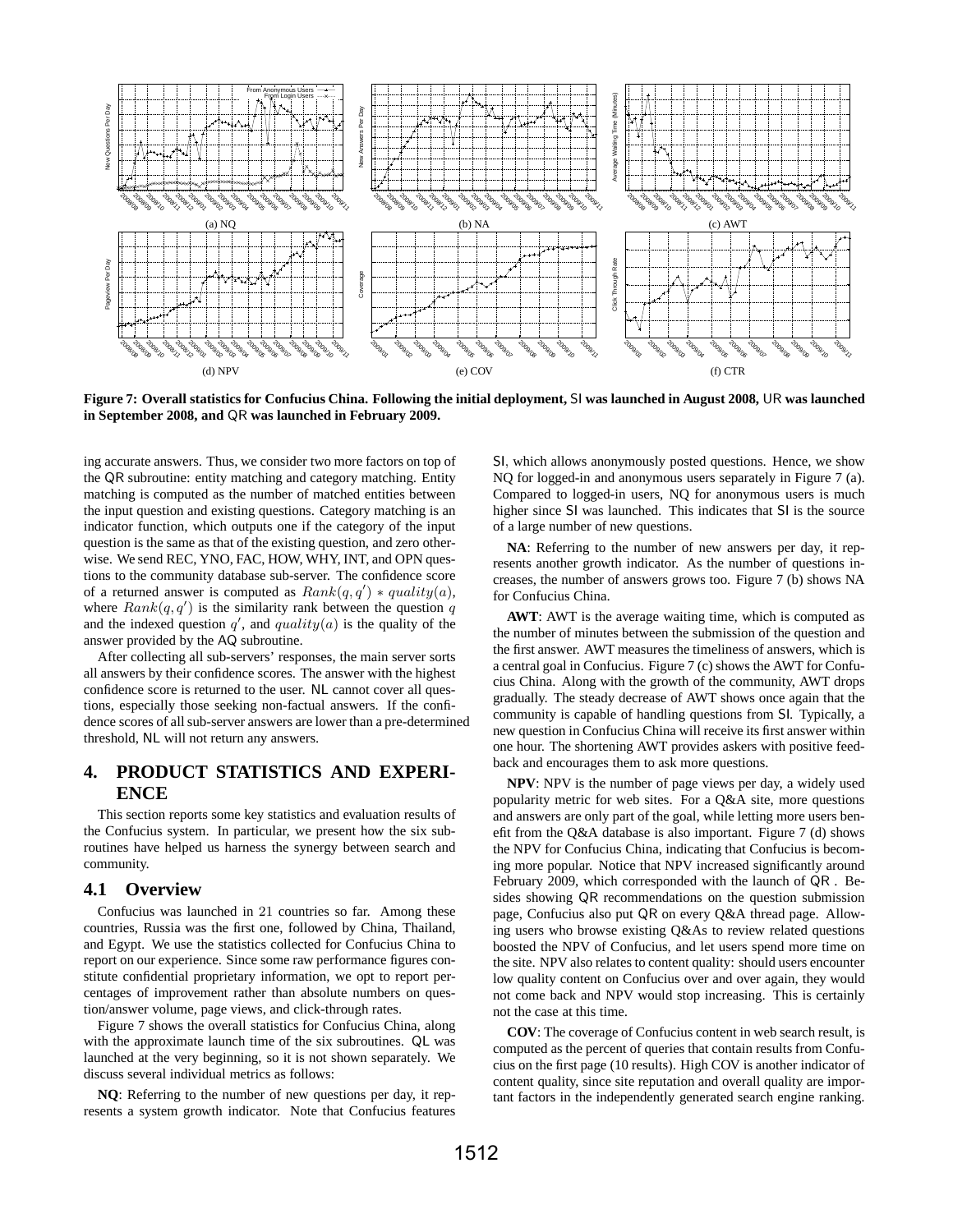

**Figure 7: Overall statistics for Confucius China. Following the initial deployment,** SI **was launched in August 2008,** UR **was launched in September 2008, and** QR **was launched in February 2009.**

ing accurate answers. Thus, we consider two more factors on top of the QR subroutine: entity matching and category matching. Entity matching is computed as the number of matched entities between the input question and existing questions. Category matching is an indicator function, which outputs one if the category of the input question is the same as that of the existing question, and zero otherwise. We send REC, YNO, FAC, HOW, WHY, INT, and OPN questions to the community database sub-server. The confidence score of a returned answer is computed as  $Rank(q, q') * quality(a)$ , where  $Rank(q, q')$  is the similarity rank between the question q and the indexed question  $q'$ , and  $quality(a)$  is the quality of the answer provided by the AQ subroutine.

After collecting all sub-servers' responses, the main server sorts all answers by their confidence scores. The answer with the highest confidence score is returned to the user. NL cannot cover all questions, especially those seeking non-factual answers. If the confidence scores of all sub-server answers are lower than a pre-determined threshold, NL will not return any answers.

# **4. PRODUCT STATISTICS AND EXPERI-ENCE**

This section reports some key statistics and evaluation results of the Confucius system. In particular, we present how the six subroutines have helped us harness the synergy between search and community.

#### **4.1 Overview**

Confucius was launched in 21 countries so far. Among these countries, Russia was the first one, followed by China, Thailand, and Egypt. We use the statistics collected for Confucius China to report on our experience. Since some raw performance figures constitute confidential proprietary information, we opt to report percentages of improvement rather than absolute numbers on question/answer volume, page views, and click-through rates.

Figure 7 shows the overall statistics for Confucius China, along with the approximate launch time of the six subroutines. QL was launched at the very beginning, so it is not shown separately. We discuss several individual metrics as follows:

**NQ**: Referring to the number of new questions per day, it represents a system growth indicator. Note that Confucius features SI, which allows anonymously posted questions. Hence, we show NQ for logged-in and anonymous users separately in Figure 7 (a). Compared to logged-in users, NQ for anonymous users is much higher since SI was launched. This indicates that SI is the source of a large number of new questions.

**NA**: Referring to the number of new answers per day, it represents another growth indicator. As the number of questions increases, the number of answers grows too. Figure 7 (b) shows NA for Confucius China.

**AWT**: AWT is the average waiting time, which is computed as the number of minutes between the submission of the question and the first answer. AWT measures the timeliness of answers, which is a central goal in Confucius. Figure 7 (c) shows the AWT for Confucius China. Along with the growth of the community, AWT drops gradually. The steady decrease of AWT shows once again that the community is capable of handling questions from SI. Typically, a new question in Confucius China will receive its first answer within one hour. The shortening AWT provides askers with positive feedback and encourages them to ask more questions.

**NPV**: NPV is the number of page views per day, a widely used popularity metric for web sites. For a Q&A site, more questions and answers are only part of the goal, while letting more users benefit from the Q&A database is also important. Figure 7 (d) shows the NPV for Confucius China, indicating that Confucius is becoming more popular. Notice that NPV increased significantly around February 2009, which corresponded with the launch of QR . Besides showing QR recommendations on the question submission page, Confucius also put QR on every Q&A thread page. Allowing users who browse existing Q&As to review related questions boosted the NPV of Confucius, and let users spend more time on the site. NPV also relates to content quality: should users encounter low quality content on Confucius over and over again, they would not come back and NPV would stop increasing. This is certainly not the case at this time.

**COV**: The coverage of Confucius content in web search result, is computed as the percent of queries that contain results from Confucius on the first page (10 results). High COV is another indicator of content quality, since site reputation and overall quality are important factors in the independently generated search engine ranking.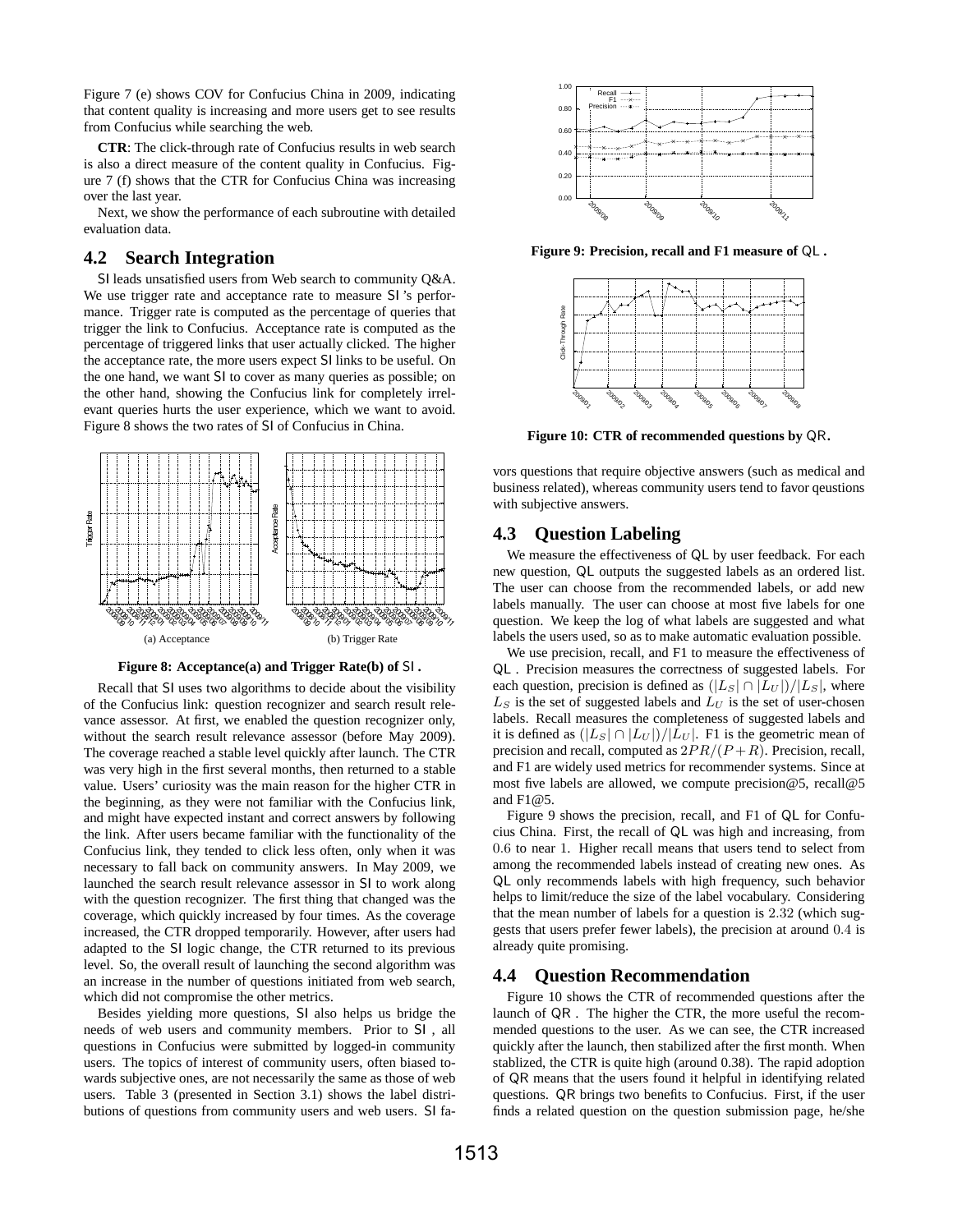Figure 7 (e) shows COV for Confucius China in 2009, indicating that content quality is increasing and more users get to see results from Confucius while searching the web.

**CTR**: The click-through rate of Confucius results in web search is also a direct measure of the content quality in Confucius. Figure 7 (f) shows that the CTR for Confucius China was increasing over the last year.

Next, we show the performance of each subroutine with detailed evaluation data.

## **4.2 Search Integration**

SI leads unsatisfied users from Web search to community Q&A. We use trigger rate and acceptance rate to measure SI 's performance. Trigger rate is computed as the percentage of queries that trigger the link to Confucius. Acceptance rate is computed as the percentage of triggered links that user actually clicked. The higher the acceptance rate, the more users expect SI links to be useful. On the one hand, we want SI to cover as many queries as possible; on the other hand, showing the Confucius link for completely irrelevant queries hurts the user experience, which we want to avoid. Figure 8 shows the two rates of SI of Confucius in China.





Recall that SI uses two algorithms to decide about the visibility of the Confucius link: question recognizer and search result relevance assessor. At first, we enabled the question recognizer only, without the search result relevance assessor (before May 2009). The coverage reached a stable level quickly after launch. The CTR was very high in the first several months, then returned to a stable value. Users' curiosity was the main reason for the higher CTR in the beginning, as they were not familiar with the Confucius link, and might have expected instant and correct answers by following the link. After users became familiar with the functionality of the Confucius link, they tended to click less often, only when it was necessary to fall back on community answers. In May 2009, we launched the search result relevance assessor in SI to work along with the question recognizer. The first thing that changed was the coverage, which quickly increased by four times. As the coverage increased, the CTR dropped temporarily. However, after users had adapted to the SI logic change, the CTR returned to its previous level. So, the overall result of launching the second algorithm was an increase in the number of questions initiated from web search, which did not compromise the other metrics.

Besides yielding more questions, SI also helps us bridge the needs of web users and community members. Prior to SI , all questions in Confucius were submitted by logged-in community users. The topics of interest of community users, often biased towards subjective ones, are not necessarily the same as those of web users. Table 3 (presented in Section 3.1) shows the label distributions of questions from community users and web users. SI fa-



**Figure 9: Precision, recall and F1 measure of** QL **.**



**Figure 10: CTR of recommended questions by** QR**.**

vors questions that require objective answers (such as medical and business related), whereas community users tend to favor qeustions with subjective answers.

## **4.3 Question Labeling**

We measure the effectiveness of QL by user feedback. For each new question, QL outputs the suggested labels as an ordered list. The user can choose from the recommended labels, or add new labels manually. The user can choose at most five labels for one question. We keep the log of what labels are suggested and what labels the users used, so as to make automatic evaluation possible.

We use precision, recall, and F1 to measure the effectiveness of QL . Precision measures the correctness of suggested labels. For each question, precision is defined as  $(|L_S| \cap |L_U|)/|L_S|$ , where  $L<sub>S</sub>$  is the set of suggested labels and  $L<sub>U</sub>$  is the set of user-chosen labels. Recall measures the completeness of suggested labels and it is defined as  $(|L_S| \cap |L_U|)/|L_U|$ . F1 is the geometric mean of precision and recall, computed as  $2PR/(P+R)$ . Precision, recall, and F1 are widely used metrics for recommender systems. Since at most five labels are allowed, we compute precision@5, recall@5 and F1@5.

Figure 9 shows the precision, recall, and F1 of QL for Confucius China. First, the recall of QL was high and increasing, from 0.6 to near 1. Higher recall means that users tend to select from among the recommended labels instead of creating new ones. As QL only recommends labels with high frequency, such behavior helps to limit/reduce the size of the label vocabulary. Considering that the mean number of labels for a question is 2.32 (which suggests that users prefer fewer labels), the precision at around 0.4 is already quite promising.

### **4.4 Question Recommendation**

Figure 10 shows the CTR of recommended questions after the launch of QR . The higher the CTR, the more useful the recommended questions to the user. As we can see, the CTR increased quickly after the launch, then stabilized after the first month. When stablized, the CTR is quite high (around 0.38). The rapid adoption of QR means that the users found it helpful in identifying related questions. QR brings two benefits to Confucius. First, if the user finds a related question on the question submission page, he/she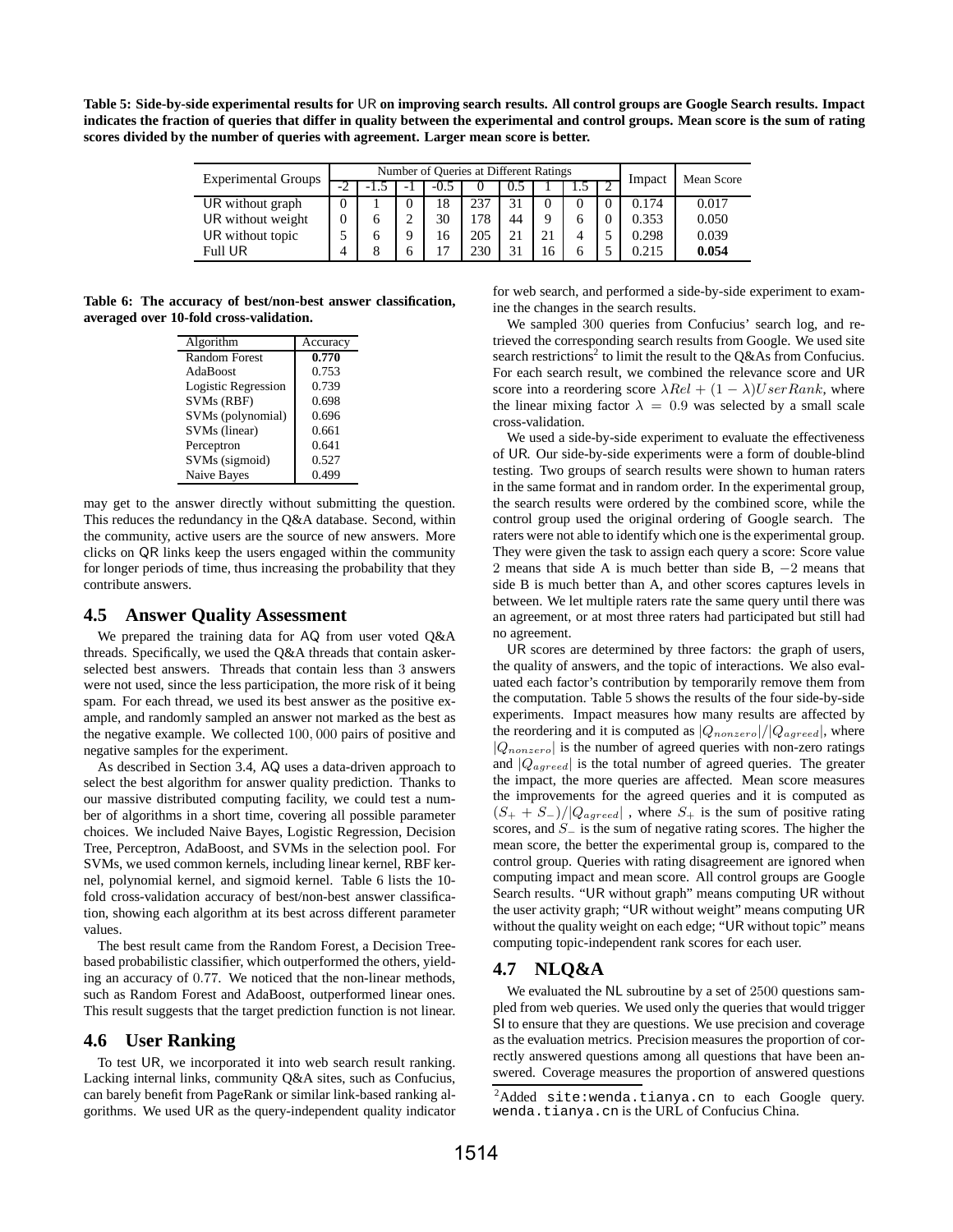**Table 5: Side-by-side experimental results for** UR **on improving search results. All control groups are Google Search results. Impact indicates the fraction of queries that differ in quality between the experimental and control groups. Mean score is the sum of rating scores divided by the number of queries with agreement. Larger mean score is better.**

| <b>Experimental Groups</b> | Number of Queries at Different Ratings |              |     |        |     |     |    | Impact | Mean Score |       |       |
|----------------------------|----------------------------------------|--------------|-----|--------|-----|-----|----|--------|------------|-------|-------|
|                            | $-L$                                   |              | - 1 | $-0.5$ |     | 0.5 |    |        |            |       |       |
| UR without graph           |                                        |              |     | 18     | 237 |     |    |        |            | 0.174 | 0.017 |
| UR without weight          |                                        | 6            | ◠   | 30     | 178 | 44  | Q  | 6      |            | 0.353 | 0.050 |
| UR without topic           |                                        | <sub>(</sub> |     | 16     | 205 |     | 21 |        |            | 0.298 | 0.039 |
| <b>Full UR</b>             |                                        | 8            |     |        | 230 |     | 16 | 6      |            | 0.215 | 0.054 |

**Table 6: The accuracy of best/non-best answer classification, averaged over 10-fold cross-validation.**

| Algorithm            | Accuracy |
|----------------------|----------|
| <b>Random Forest</b> | 0.770    |
| AdaBoost             | 0.753    |
| Logistic Regression  | 0.739    |
| SVMs (RBF)           | 0.698    |
| SVMs (polynomial)    | 0.696    |
| SVMs (linear)        | 0.661    |
| Perceptron           | 0.641    |
| SVMs (sigmoid)       | 0.527    |
| Naive Bayes          | 0.499    |

may get to the answer directly without submitting the question. This reduces the redundancy in the Q&A database. Second, within the community, active users are the source of new answers. More clicks on QR links keep the users engaged within the community for longer periods of time, thus increasing the probability that they contribute answers.

## **4.5 Answer Quality Assessment**

We prepared the training data for AQ from user voted Q&A threads. Specifically, we used the Q&A threads that contain askerselected best answers. Threads that contain less than 3 answers were not used, since the less participation, the more risk of it being spam. For each thread, we used its best answer as the positive example, and randomly sampled an answer not marked as the best as the negative example. We collected 100, 000 pairs of positive and negative samples for the experiment.

As described in Section 3.4, AQ uses a data-driven approach to select the best algorithm for answer quality prediction. Thanks to our massive distributed computing facility, we could test a number of algorithms in a short time, covering all possible parameter choices. We included Naive Bayes, Logistic Regression, Decision Tree, Perceptron, AdaBoost, and SVMs in the selection pool. For SVMs, we used common kernels, including linear kernel, RBF kernel, polynomial kernel, and sigmoid kernel. Table 6 lists the 10 fold cross-validation accuracy of best/non-best answer classification, showing each algorithm at its best across different parameter values.

The best result came from the Random Forest, a Decision Treebased probabilistic classifier, which outperformed the others, yielding an accuracy of 0.77. We noticed that the non-linear methods, such as Random Forest and AdaBoost, outperformed linear ones. This result suggests that the target prediction function is not linear.

## **4.6 User Ranking**

To test UR, we incorporated it into web search result ranking. Lacking internal links, community Q&A sites, such as Confucius, can barely benefit from PageRank or similar link-based ranking algorithms. We used UR as the query-independent quality indicator for web search, and performed a side-by-side experiment to examine the changes in the search results.

We sampled 300 queries from Confucius' search log, and retrieved the corresponding search results from Google. We used site search restrictions<sup>2</sup> to limit the result to the Q&As from Confucius. For each search result, we combined the relevance score and UR score into a reordering score  $\lambda Rel + (1 - \lambda) UserRank$ , where the linear mixing factor  $\lambda = 0.9$  was selected by a small scale cross-validation.

We used a side-by-side experiment to evaluate the effectiveness of UR. Our side-by-side experiments were a form of double-blind testing. Two groups of search results were shown to human raters in the same format and in random order. In the experimental group, the search results were ordered by the combined score, while the control group used the original ordering of Google search. The raters were not able to identify which one is the experimental group. They were given the task to assign each query a score: Score value 2 means that side A is much better than side B, −2 means that side B is much better than A, and other scores captures levels in between. We let multiple raters rate the same query until there was an agreement, or at most three raters had participated but still had no agreement.

UR scores are determined by three factors: the graph of users, the quality of answers, and the topic of interactions. We also evaluated each factor's contribution by temporarily remove them from the computation. Table 5 shows the results of the four side-by-side experiments. Impact measures how many results are affected by the reordering and it is computed as  $|Q_{nonzero}|/|Q_{agree}|$ , where  $|Q_{nonzero}|$  is the number of agreed queries with non-zero ratings and  $|Q_{a\text{g}reed}|$  is the total number of agreed queries. The greater the impact, the more queries are affected. Mean score measures the improvements for the agreed queries and it is computed as  $(S_{+} + S_{-})/|Q_{agreed}|$ , where  $S_{+}$  is the sum of positive rating scores, and  $S_$  is the sum of negative rating scores. The higher the mean score, the better the experimental group is, compared to the control group. Queries with rating disagreement are ignored when computing impact and mean score. All control groups are Google Search results. "UR without graph" means computing UR without the user activity graph; "UR without weight" means computing UR without the quality weight on each edge; "UR without topic" means computing topic-independent rank scores for each user.

## **4.7 NLQ&A**

We evaluated the NL subroutine by a set of 2500 questions sampled from web queries. We used only the queries that would trigger SI to ensure that they are questions. We use precision and coverage as the evaluation metrics. Precision measures the proportion of correctly answered questions among all questions that have been answered. Coverage measures the proportion of answered questions

 $^{2}$ Added site:wenda.tianya.cn to each Google query. wenda.tianya.cn is the URL of Confucius China.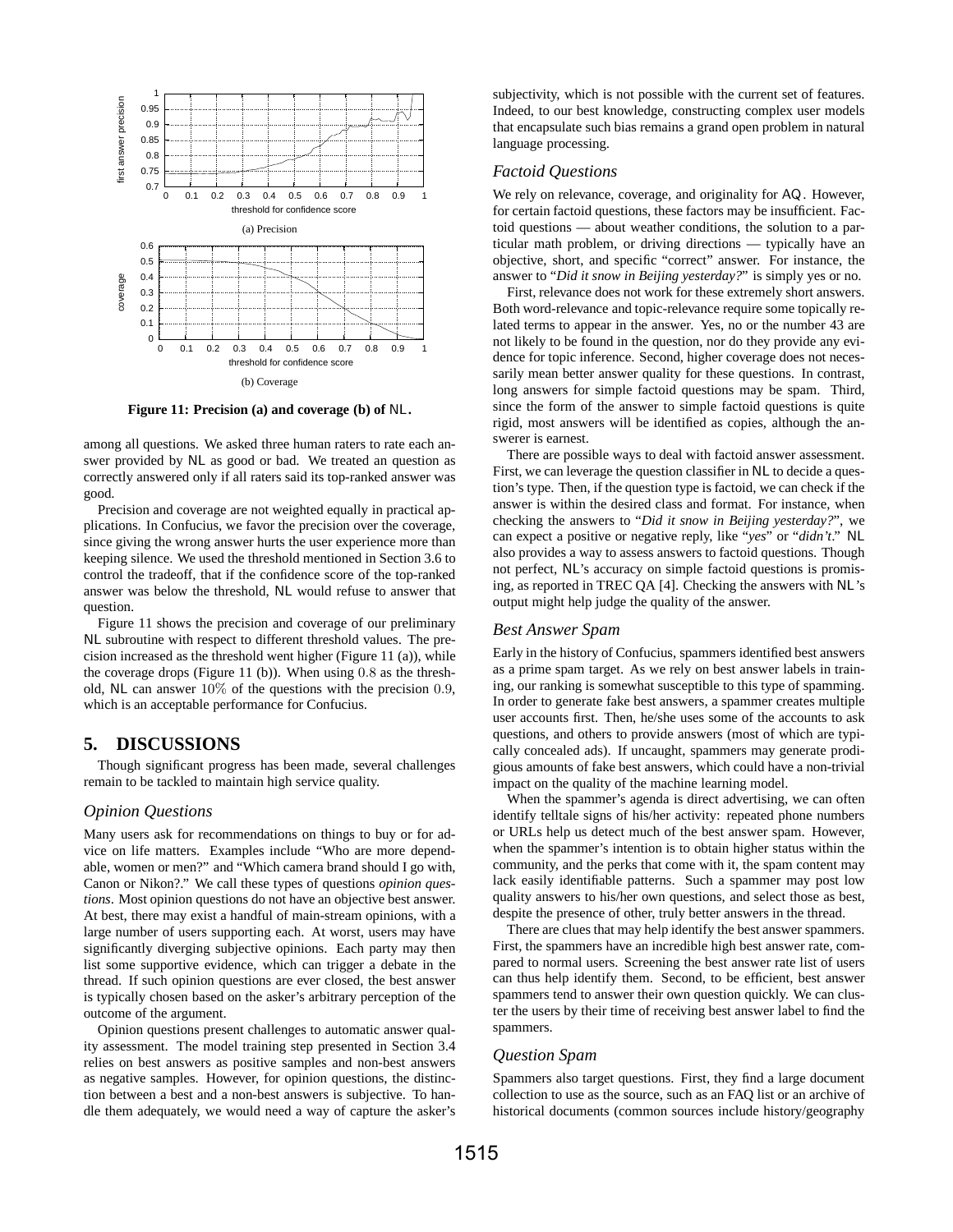

**Figure 11: Precision (a) and coverage (b) of** NL**.**

among all questions. We asked three human raters to rate each answer provided by NL as good or bad. We treated an question as correctly answered only if all raters said its top-ranked answer was good.

Precision and coverage are not weighted equally in practical applications. In Confucius, we favor the precision over the coverage, since giving the wrong answer hurts the user experience more than keeping silence. We used the threshold mentioned in Section 3.6 to control the tradeoff, that if the confidence score of the top-ranked answer was below the threshold, NL would refuse to answer that question.

Figure 11 shows the precision and coverage of our preliminary NL subroutine with respect to different threshold values. The precision increased as the threshold went higher (Figure 11 (a)), while the coverage drops (Figure 11 (b)). When using 0.8 as the threshold, NL can answer 10% of the questions with the precision 0.9, which is an acceptable performance for Confucius.

## **5. DISCUSSIONS**

Though significant progress has been made, several challenges remain to be tackled to maintain high service quality.

#### *Opinion Questions*

Many users ask for recommendations on things to buy or for advice on life matters. Examples include "Who are more dependable, women or men?" and "Which camera brand should I go with, Canon or Nikon?." We call these types of questions *opinion questions*. Most opinion questions do not have an objective best answer. At best, there may exist a handful of main-stream opinions, with a large number of users supporting each. At worst, users may have significantly diverging subjective opinions. Each party may then list some supportive evidence, which can trigger a debate in the thread. If such opinion questions are ever closed, the best answer is typically chosen based on the asker's arbitrary perception of the outcome of the argument.

Opinion questions present challenges to automatic answer quality assessment. The model training step presented in Section 3.4 relies on best answers as positive samples and non-best answers as negative samples. However, for opinion questions, the distinction between a best and a non-best answers is subjective. To handle them adequately, we would need a way of capture the asker's subjectivity, which is not possible with the current set of features. Indeed, to our best knowledge, constructing complex user models that encapsulate such bias remains a grand open problem in natural language processing.

#### *Factoid Questions*

We rely on relevance, coverage, and originality for AQ. However, for certain factoid questions, these factors may be insufficient. Factoid questions — about weather conditions, the solution to a particular math problem, or driving directions — typically have an objective, short, and specific "correct" answer. For instance, the answer to "*Did it snow in Beijing yesterday?*" is simply yes or no.

First, relevance does not work for these extremely short answers. Both word-relevance and topic-relevance require some topically related terms to appear in the answer. Yes, no or the number 43 are not likely to be found in the question, nor do they provide any evidence for topic inference. Second, higher coverage does not necessarily mean better answer quality for these questions. In contrast, long answers for simple factoid questions may be spam. Third, since the form of the answer to simple factoid questions is quite rigid, most answers will be identified as copies, although the answerer is earnest.

There are possible ways to deal with factoid answer assessment. First, we can leverage the question classifier in NL to decide a question's type. Then, if the question type is factoid, we can check if the answer is within the desired class and format. For instance, when checking the answers to "*Did it snow in Beijing yesterday?*", we can expect a positive or negative reply, like "*yes*" or "*didn't*." NL also provides a way to assess answers to factoid questions. Though not perfect, NL's accuracy on simple factoid questions is promising, as reported in TREC QA [4]. Checking the answers with NL's output might help judge the quality of the answer.

#### *Best Answer Spam*

Early in the history of Confucius, spammers identified best answers as a prime spam target. As we rely on best answer labels in training, our ranking is somewhat susceptible to this type of spamming. In order to generate fake best answers, a spammer creates multiple user accounts first. Then, he/she uses some of the accounts to ask questions, and others to provide answers (most of which are typically concealed ads). If uncaught, spammers may generate prodigious amounts of fake best answers, which could have a non-trivial impact on the quality of the machine learning model.

When the spammer's agenda is direct advertising, we can often identify telltale signs of his/her activity: repeated phone numbers or URLs help us detect much of the best answer spam. However, when the spammer's intention is to obtain higher status within the community, and the perks that come with it, the spam content may lack easily identifiable patterns. Such a spammer may post low quality answers to his/her own questions, and select those as best, despite the presence of other, truly better answers in the thread.

There are clues that may help identify the best answer spammers. First, the spammers have an incredible high best answer rate, compared to normal users. Screening the best answer rate list of users can thus help identify them. Second, to be efficient, best answer spammers tend to answer their own question quickly. We can cluster the users by their time of receiving best answer label to find the spammers.

#### *Question Spam*

Spammers also target questions. First, they find a large document collection to use as the source, such as an FAQ list or an archive of historical documents (common sources include history/geography